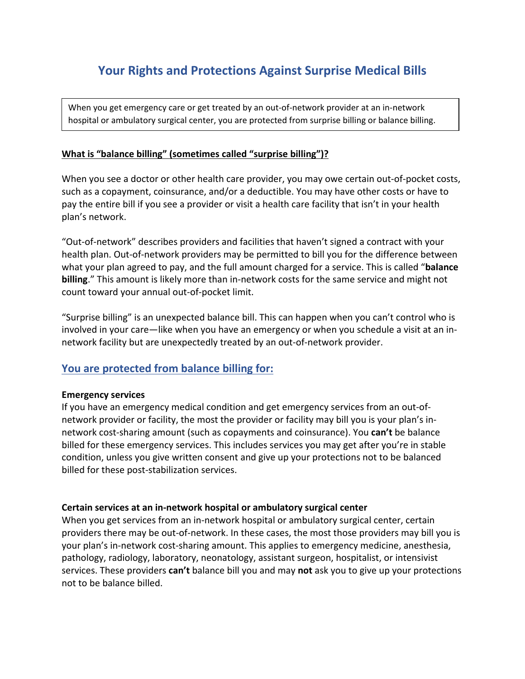# **Your Rights and Protections Against Surprise Medical Bills**

When you get emergency care or get treated by an out-of-network provider at an in-network hospital or ambulatory surgical center, you are protected from surprise billing or balance billing.

#### **What is "balance billing" (sometimes called "surprise billing")?**

When you see a doctor or other health care provider, you may owe certain out-of-pocket costs, such as a copayment, coinsurance, and/or a deductible. You may have other costs or have to pay the entire bill if you see a provider or visit a health care facility that isn't in your health plan's network.

"Out-of-network" describes providers and facilities that haven't signed a contract with your health plan. Out-of-network providers may be permitted to bill you for the difference between what your plan agreed to pay, and the full amount charged for a service. This is called "**balance billing**." This amount is likely more than in-network costs for the same service and might not count toward your annual out-of-pocket limit.

"Surprise billing" is an unexpected balance bill. This can happen when you can't control who is involved in your care—like when you have an emergency or when you schedule a visit at an innetwork facility but are unexpectedly treated by an out-of-network provider.

### **You are protected from balance billing for:**

#### **Emergency services**

If you have an emergency medical condition and get emergency services from an out-ofnetwork provider or facility, the most the provider or facility may bill you is your plan's innetwork cost-sharing amount (such as copayments and coinsurance). You **can't** be balance billed for these emergency services. This includes services you may get after you're in stable condition, unless you give written consent and give up your protections not to be balanced billed for these post-stabilization services.

#### **Certain services at an in-network hospital or ambulatory surgical center**

When you get services from an in-network hospital or ambulatory surgical center, certain providers there may be out-of-network. In these cases, the most those providers may bill you is your plan's in-network cost-sharing amount. This applies to emergency medicine, anesthesia, pathology, radiology, laboratory, neonatology, assistant surgeon, hospitalist, or intensivist services. These providers **can't** balance bill you and may **not** ask you to give up your protections not to be balance billed.